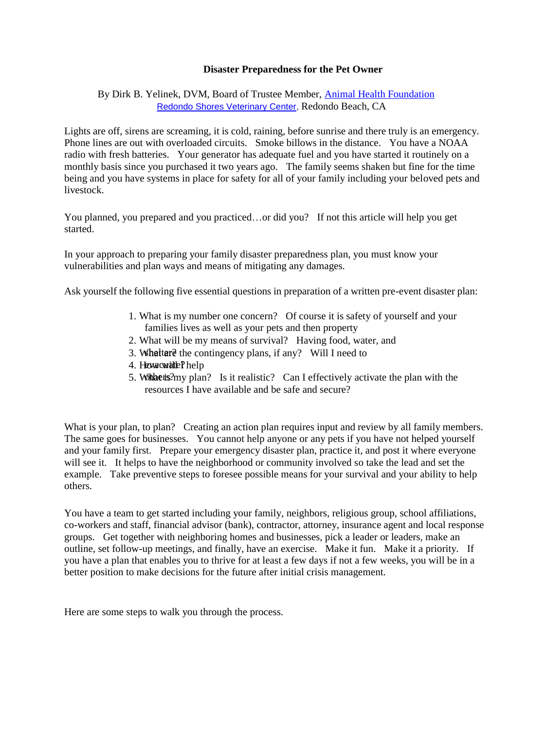## **Disaster Preparedness for the Pet Owner**

By Dirk B. Yelinek, DVM, Board of Trustee Member, [Animal Health Foundation](http://www.animalhealthfoundation.org/) [Redondo Shores Veterinary Center,](http://www.redondoshoresvet.com/) Redondo Beach, CA

Lights are off, sirens are screaming, it is cold, raining, before sunrise and there truly is an emergency. Phone lines are out with overloaded circuits. Smoke billows in the distance. You have a NOAA radio with fresh batteries. Your generator has adequate fuel and you have started it routinely on a monthly basis since you purchased it two years ago. The family seems shaken but fine for the time being and you have systems in place for safety for all of your family including your beloved pets and livestock.

You planned, you prepared and you practiced…or did you? If not this article will help you get started.

In your approach to preparing your family disaster preparedness plan, you must know your vulnerabilities and plan ways and means of mitigating any damages.

Ask yourself the following five essential questions in preparation of a written pre-event disaster plan:

- 1. What is my number one concern? Of course it is safety of yourself and your families lives as well as your pets and then property
- 2. What will be my means of survival? Having food, water, and
- 3. What are the contingency plans, if any? Will I need to
- 4. Hewacwalte? help
- 5. Wom hat is my plan? Is it realistic? Can I effectively activate the plan with the resources I have available and be safe and secure?

What is your plan, to plan? Creating an action plan requires input and review by all family members. The same goes for businesses. You cannot help anyone or any pets if you have not helped yourself and your family first. Prepare your emergency disaster plan, practice it, and post it where everyone will see it. It helps to have the neighborhood or community involved so take the lead and set the example. Take preventive steps to foresee possible means for your survival and your ability to help others.

You have a team to get started including your family, neighbors, religious group, school affiliations, co-workers and staff, financial advisor (bank), contractor, attorney, insurance agent and local response groups. Get together with neighboring homes and businesses, pick a leader or leaders, make an outline, set follow-up meetings, and finally, have an exercise. Make it fun. Make it a priority. If you have a plan that enables you to thrive for at least a few days if not a few weeks, you will be in a better position to make decisions for the future after initial crisis management.

Here are some steps to walk you through the process.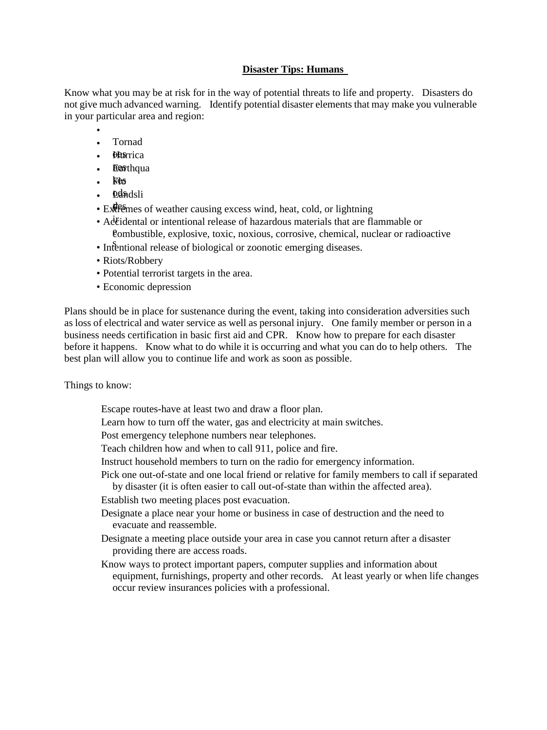# **Disaster Tips: Humans**

Know what you may be at risk for in the way of potential threats to life and property. Disasters do not give much advanced warning. Identify potential disaster elements that may make you vulnerable in your particular area and region:

- Tornad •
- Deterrica
- Earthqua
- kes Flo •
- Dandsli
- Extremes of weather causing excess wind, heat, cold, or lightning
- Adeidental or intentional release of hazardous materials that are flammable or e combustible, explosive, toxic, noxious, corrosive, chemical, nuclear or radioactive
- s Intentional release of biological or zoonotic emerging diseases.
- Riots/Robbery
- Potential terrorist targets in the area.
- Economic depression

Plans should be in place for sustenance during the event, taking into consideration adversities such as loss of electrical and water service as well as personal injury. One family member or person in a business needs certification in basic first aid and CPR. Know how to prepare for each disaster before it happens. Know what to do while it is occurring and what you can do to help others. The best plan will allow you to continue life and work as soon as possible.

Things to know:

Escape routes-have at least two and draw a floor plan.

Learn how to turn off the water, gas and electricity at main switches.

Post emergency telephone numbers near telephones.

Teach children how and when to call 911, police and fire.

Instruct household members to turn on the radio for emergency information.

- Pick one out-of-state and one local friend or relative for family members to call if separated by disaster (it is often easier to call out-of-state than within the affected area).
- Establish two meeting places post evacuation.
- Designate a place near your home or business in case of destruction and the need to evacuate and reassemble.
- Designate a meeting place outside your area in case you cannot return after a disaster providing there are access roads.
- Know ways to protect important papers, computer supplies and information about equipment, furnishings, property and other records. At least yearly or when life changes occur review insurances policies with a professional.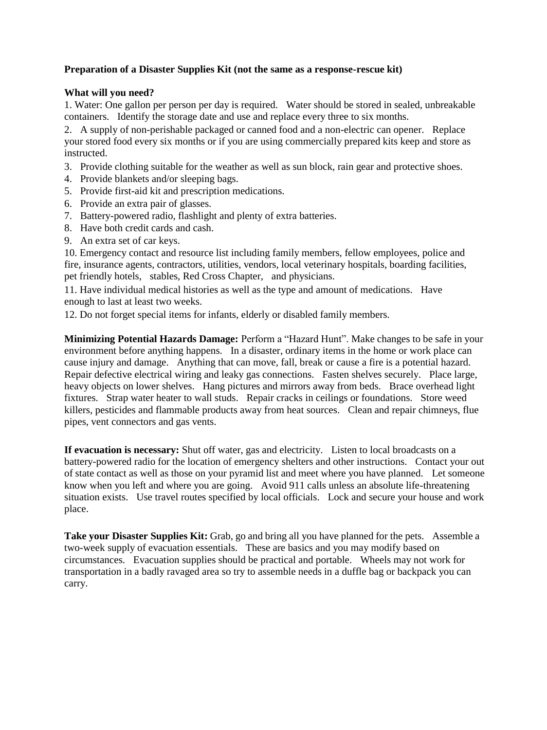# **Preparation of a Disaster Supplies Kit (not the same as a response-rescue kit)**

## **What will you need?**

1. Water: One gallon per person per day is required. Water should be stored in sealed, unbreakable containers. Identify the storage date and use and replace every three to six months.

2. A supply of non-perishable packaged or canned food and a non-electric can opener. Replace your stored food every six months or if you are using commercially prepared kits keep and store as instructed.

- 3. Provide clothing suitable for the weather as well as sun block, rain gear and protective shoes.
- 4. Provide blankets and/or sleeping bags.
- 5. Provide first-aid kit and prescription medications.
- 6. Provide an extra pair of glasses.
- 7. Battery-powered radio, flashlight and plenty of extra batteries.
- 8. Have both credit cards and cash.
- 9. An extra set of car keys.

10. Emergency contact and resource list including family members, fellow employees, police and fire, insurance agents, contractors, utilities, vendors, local veterinary hospitals, boarding facilities, pet friendly hotels, stables, Red Cross Chapter, and physicians.

11. Have individual medical histories as well as the type and amount of medications. Have enough to last at least two weeks.

12. Do not forget special items for infants, elderly or disabled family members.

**Minimizing Potential Hazards Damage:** Perform a "Hazard Hunt". Make changes to be safe in your environment before anything happens. In a disaster, ordinary items in the home or work place can cause injury and damage. Anything that can move, fall, break or cause a fire is a potential hazard. Repair defective electrical wiring and leaky gas connections. Fasten shelves securely. Place large, heavy objects on lower shelves. Hang pictures and mirrors away from beds. Brace overhead light fixtures. Strap water heater to wall studs. Repair cracks in ceilings or foundations. Store weed killers, pesticides and flammable products away from heat sources. Clean and repair chimneys, flue pipes, vent connectors and gas vents.

**If evacuation is necessary:** Shut off water, gas and electricity. Listen to local broadcasts on a battery-powered radio for the location of emergency shelters and other instructions. Contact your out of state contact as well as those on your pyramid list and meet where you have planned. Let someone know when you left and where you are going. Avoid 911 calls unless an absolute life-threatening situation exists. Use travel routes specified by local officials. Lock and secure your house and work place.

**Take your Disaster Supplies Kit:** Grab, go and bring all you have planned for the pets. Assemble a two-week supply of evacuation essentials. These are basics and you may modify based on circumstances. Evacuation supplies should be practical and portable. Wheels may not work for transportation in a badly ravaged area so try to assemble needs in a duffle bag or backpack you can carry.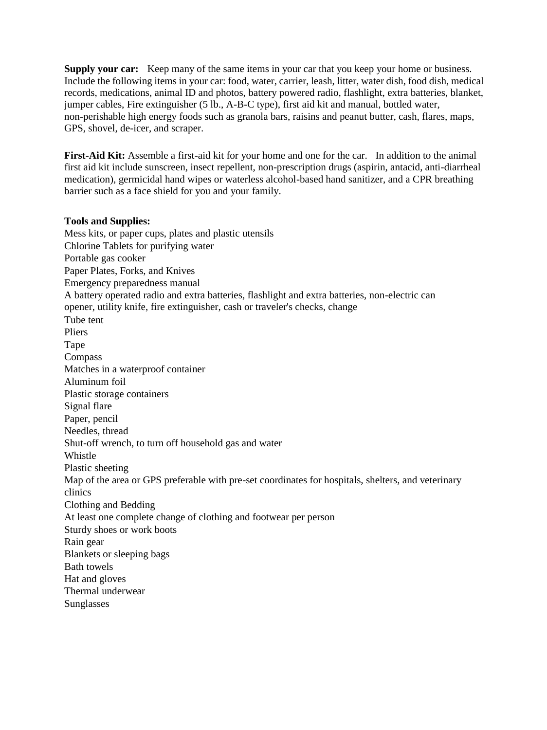**Supply your car:** Keep many of the same items in your car that you keep your home or business. Include the following items in your car: food, water, carrier, leash, litter, water dish, food dish, medical records, medications, animal ID and photos, battery powered radio, flashlight, extra batteries, blanket, jumper cables, Fire extinguisher (5 lb., A-B-C type), first aid kit and manual, bottled water, non-perishable high energy foods such as granola bars, raisins and peanut butter, cash, flares, maps, GPS, shovel, de-icer, and scraper.

**First-Aid Kit:** Assemble a first-aid kit for your home and one for the car. In addition to the animal first aid kit include sunscreen, insect repellent, non-prescription drugs (aspirin, antacid, anti-diarrheal medication), germicidal hand wipes or waterless alcohol-based hand sanitizer, and a CPR breathing barrier such as a face shield for you and your family.

#### **Tools and Supplies:**

Mess kits, or paper cups, plates and plastic utensils Chlorine Tablets for purifying water Portable gas cooker Paper Plates, Forks, and Knives Emergency preparedness manual A battery operated radio and extra batteries, flashlight and extra batteries, non-electric can opener, utility knife, fire extinguisher, cash or traveler's checks, change Tube tent Pliers Tape Compass Matches in a waterproof container Aluminum foil Plastic storage containers Signal flare Paper, pencil Needles, thread Shut-off wrench, to turn off household gas and water Whistle Plastic sheeting Map of the area or GPS preferable with pre-set coordinates for hospitals, shelters, and veterinary clinics Clothing and Bedding At least one complete change of clothing and footwear per person Sturdy shoes or work boots Rain gear Blankets or sleeping bags Bath towels Hat and gloves Thermal underwear Sunglasses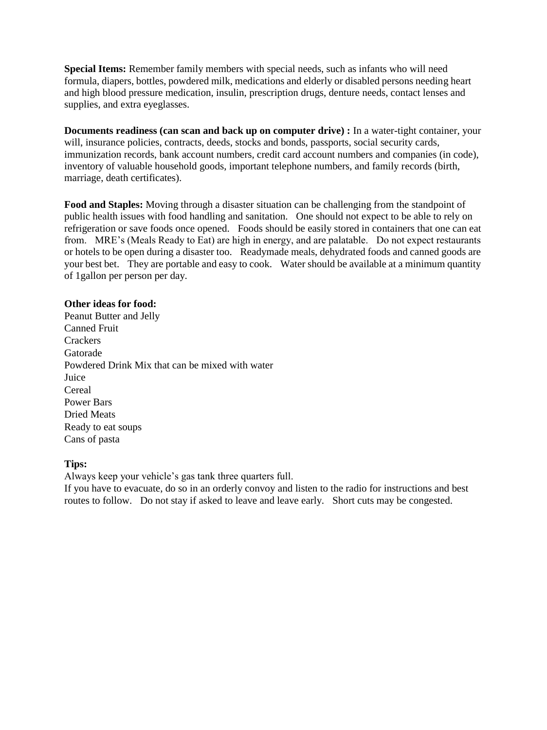**Special Items:** Remember family members with special needs, such as infants who will need formula, diapers, bottles, powdered milk, medications and elderly or disabled persons needing heart and high blood pressure medication, insulin, prescription drugs, denture needs, contact lenses and supplies, and extra eyeglasses.

**Documents readiness (can scan and back up on computer drive) :** In a water-tight container, your will, insurance policies, contracts, deeds, stocks and bonds, passports, social security cards, immunization records, bank account numbers, credit card account numbers and companies (in code), inventory of valuable household goods, important telephone numbers, and family records (birth, marriage, death certificates).

**Food and Staples:** Moving through a disaster situation can be challenging from the standpoint of public health issues with food handling and sanitation. One should not expect to be able to rely on refrigeration or save foods once opened. Foods should be easily stored in containers that one can eat from. MRE's (Meals Ready to Eat) are high in energy, and are palatable. Do not expect restaurants or hotels to be open during a disaster too. Readymade meals, dehydrated foods and canned goods are your best bet. They are portable and easy to cook. Water should be available at a minimum quantity of 1gallon per person per day.

#### **Other ideas for food:**

Peanut Butter and Jelly Canned Fruit **Crackers** Gatorade Powdered Drink Mix that can be mixed with water **Juice** Cereal Power Bars Dried Meats Ready to eat soups Cans of pasta

## **Tips:**

Always keep your vehicle's gas tank three quarters full.

If you have to evacuate, do so in an orderly convoy and listen to the radio for instructions and best routes to follow. Do not stay if asked to leave and leave early. Short cuts may be congested.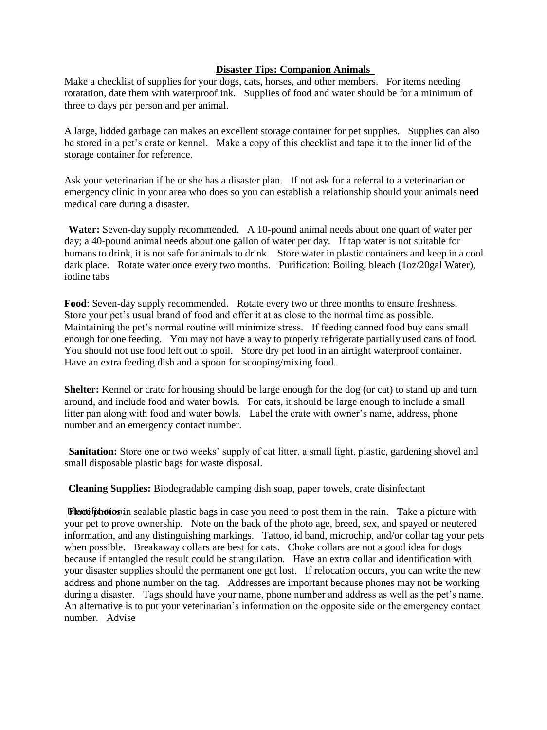## **Disaster Tips: Companion Animals**

Make a checklist of supplies for your dogs, cats, horses, and other members. For items needing rotatation, date them with waterproof ink. Supplies of food and water should be for a minimum of three to days per person and per animal.

A large, lidded garbage can makes an excellent storage container for pet supplies. Supplies can also be stored in a pet's crate or kennel. Make a copy of this checklist and tape it to the inner lid of the storage container for reference.

Ask your veterinarian if he or she has a disaster plan. If not ask for a referral to a veterinarian or emergency clinic in your area who does so you can establish a relationship should your animals need medical care during a disaster.

**Water:** Seven-day supply recommended. A 10-pound animal needs about one quart of water per day; a 40-pound animal needs about one gallon of water per day. If tap water is not suitable for humans to drink, it is not safe for animals to drink. Store water in plastic containers and keep in a cool dark place. Rotate water once every two months. Purification: Boiling, bleach (1oz/20gal Water), iodine tabs

**Food**: Seven-day supply recommended. Rotate every two or three months to ensure freshness. Store your pet's usual brand of food and offer it at as close to the normal time as possible. Maintaining the pet's normal routine will minimize stress. If feeding canned food buy cans small enough for one feeding. You may not have a way to properly refrigerate partially used cans of food. You should not use food left out to spoil. Store dry pet food in an airtight waterproof container. Have an extra feeding dish and a spoon for scooping/mixing food.

**Shelter:** Kennel or crate for housing should be large enough for the dog (or cat) to stand up and turn around, and include food and water bowls. For cats, it should be large enough to include a small litter pan along with food and water bowls. Label the crate with owner's name, address, phone number and an emergency contact number.

**Sanitation:** Store one or two weeks' supply of cat litter, a small light, plastic, gardening shovel and small disposable plastic bags for waste disposal.

**Cleaning Supplies:** Biodegradable camping dish soap, paper towels, crate disinfectant

**Elexce fiphation** in sealable plastic bags in case you need to post them in the rain. Take a picture with your pet to prove ownership. Note on the back of the photo age, breed, sex, and spayed or neutered information, and any distinguishing markings. Tattoo, id band, microchip, and/or collar tag your pets when possible. Breakaway collars are best for cats. Choke collars are not a good idea for dogs because if entangled the result could be strangulation. Have an extra collar and identification with your disaster supplies should the permanent one get lost. If relocation occurs, you can write the new address and phone number on the tag. Addresses are important because phones may not be working during a disaster. Tags should have your name, phone number and address as well as the pet's name. An alternative is to put your veterinarian's information on the opposite side or the emergency contact number. Advise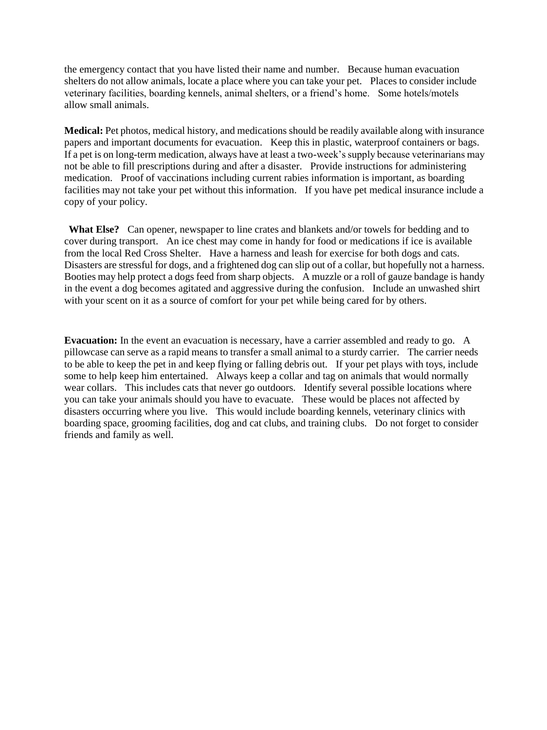the emergency contact that you have listed their name and number. Because human evacuation shelters do not allow animals, locate a place where you can take your pet. Places to consider include veterinary facilities, boarding kennels, animal shelters, or a friend's home. Some hotels/motels allow small animals.

**Medical:** Pet photos, medical history, and medications should be readily available along with insurance papers and important documents for evacuation. Keep this in plastic, waterproof containers or bags. If a pet is on long-term medication, always have at least a two-week's supply because veterinarians may not be able to fill prescriptions during and after a disaster. Provide instructions for administering medication. Proof of vaccinations including current rabies information is important, as boarding facilities may not take your pet without this information. If you have pet medical insurance include a copy of your policy.

**What Else?** Can opener, newspaper to line crates and blankets and/or towels for bedding and to cover during transport. An ice chest may come in handy for food or medications if ice is available from the local Red Cross Shelter. Have a harness and leash for exercise for both dogs and cats. Disasters are stressful for dogs, and a frightened dog can slip out of a collar, but hopefully not a harness. Booties may help protect a dogs feed from sharp objects. A muzzle or a roll of gauze bandage is handy in the event a dog becomes agitated and aggressive during the confusion. Include an unwashed shirt with your scent on it as a source of comfort for your pet while being cared for by others.

**Evacuation:** In the event an evacuation is necessary, have a carrier assembled and ready to go. A pillowcase can serve as a rapid means to transfer a small animal to a sturdy carrier. The carrier needs to be able to keep the pet in and keep flying or falling debris out. If your pet plays with toys, include some to help keep him entertained. Always keep a collar and tag on animals that would normally wear collars. This includes cats that never go outdoors. Identify several possible locations where you can take your animals should you have to evacuate. These would be places not affected by disasters occurring where you live. This would include boarding kennels, veterinary clinics with boarding space, grooming facilities, dog and cat clubs, and training clubs. Do not forget to consider friends and family as well.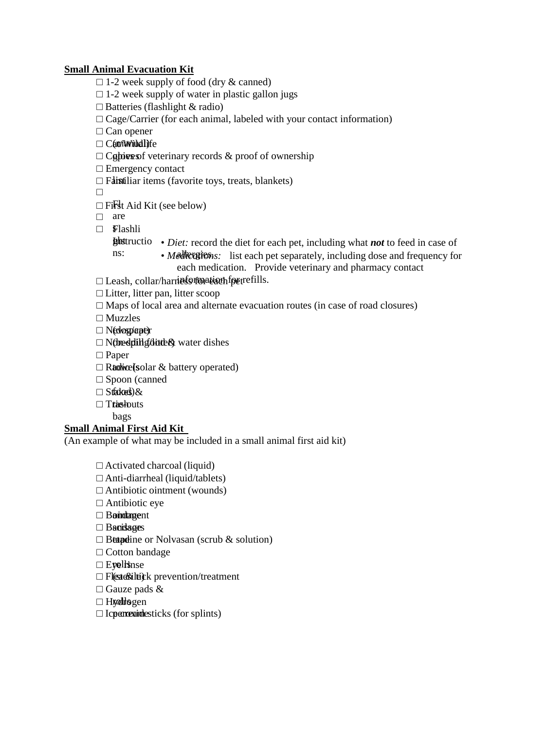# **Small Animal Evacuation Kit**

 $\Box$  1-2 week supply of food (dry & canned)

 $\Box$  1-2 week supply of water in plastic gallon jugs

 $\Box$  Batteries (flashlight & radio)

 $\Box$  Cage/Carrier (for each animal, labeled with your contact information)

□ Can opener

 $\Box$  Cátri Widdlife

 $\Box$  Cgbives of veterinary records & proof of ownership

□ Emergency contact

 $\Box$  Fainstiliar items (favorite toys, treats, blankets)

□

 $\Box$  First Aid Kit (see below)

- □ are
- □ Flashli

ns:

**ght** tructio • *Diet:* record the diet for each pet, including what *not* to feed in case of

• *Medications:* list each pet separately, including dose and frequency for each medication. Provide veterinary and pharmacy contact

 $\square$  Leash, collar/harriess from the information for refills.

□ Litter, litter pan, litter scoop

 $\square$  Maps of local area and alternate evacuation routes (in case of road closures)

- □ Muzzles
- $\Box$  Neckospaper
- $\Box$  Notes differentially water dishes
- □ Paper
- $\Box$  Radiovelsolar & battery operated)
- □ Spoon (canned
- $\Box$  Stakess $\&$
- $\Box$  Trash tuts

bags

# **Small Animal First Aid Kit**

(An example of what may be included in a small animal first aid kit)

 $\Box$  Activated charcoal (liquid)  $\Box$  Anti-diarrheal (liquid/tablets)  $\Box$  Antibiotic ointment (wounds) □ Antibiotic eye  $\square$  Bandagent  $\square$  Bandsages  $\square$  Betandine or Nolvasan (scrub & solution) □ Cotton bandage  $\square$  Eyeltinse  $\Box$  Flexteskiltick prevention/treatment  $\Box$  Gauze pads &

- $\Box$  Hydrogen
- $\Box$  Icperreximitesticks (for splints)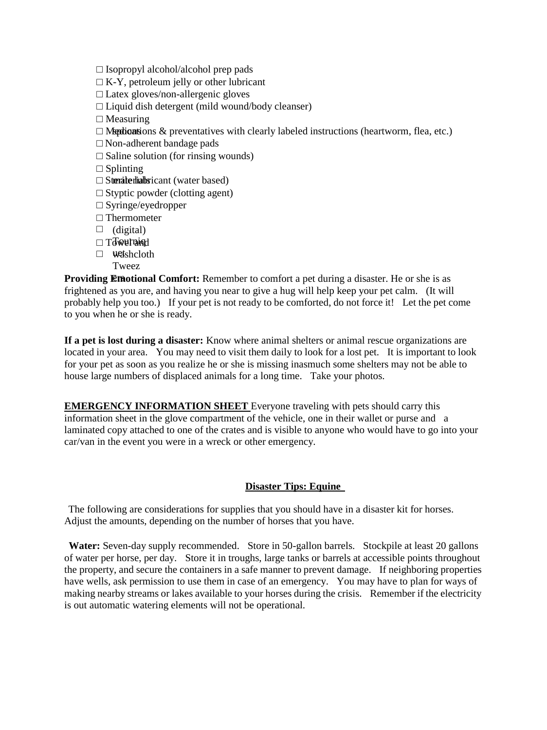$\square$  Isopropyl alcohol/alcohol prep pads  $\Box K-Y$ , petroleum jelly or other lubricant □ Latex gloves/non-allergenic gloves  $\Box$  Liquid dish detergent (mild wound/body cleanser) □ Measuring  $\Box$  **Medioni**sions & preventatives with clearly labeled instructions (heartworm, flea, etc.) □ Non-adherent bandage pads  $\square$  Saline solution (for rinsing wounds)  $\square$  Splinting  $\Box$  Sterrite relative lubration (water based)  $\Box$  Styptic powder (clotting agent) □ Syringe/eyedropper □ Thermometer  $\Box$  (digital)  $\Box$  T $\overline{d}$ wet and □ wetshcloth

Tweez

**Providing Emotional Comfort:** Remember to comfort a pet during a disaster. He or she is as frightened as you are, and having you near to give a hug will help keep your pet calm. (It will probably help you too.) If your pet is not ready to be comforted, do not force it! Let the pet come to you when he or she is ready.

**If a pet is lost during a disaster:** Know where animal shelters or animal rescue organizations are located in your area. You may need to visit them daily to look for a lost pet. It is important to look for your pet as soon as you realize he or she is missing inasmuch some shelters may not be able to house large numbers of displaced animals for a long time. Take your photos.

**EMERGENCY INFORMATION SHEET** Everyone traveling with pets should carry this information sheet in the glove compartment of the vehicle, one in their wallet or purse and a laminated copy attached to one of the crates and is visible to anyone who would have to go into your car/van in the event you were in a wreck or other emergency.

#### **Disaster Tips: Equine**

The following are considerations for supplies that you should have in a disaster kit for horses. Adjust the amounts, depending on the number of horses that you have.

Water: Seven-day supply recommended. Store in 50-gallon barrels. Stockpile at least 20 gallons of water per horse, per day. Store it in troughs, large tanks or barrels at accessible points throughout the property, and secure the containers in a safe manner to prevent damage. If neighboring properties have wells, ask permission to use them in case of an emergency. You may have to plan for ways of making nearby streams or lakes available to your horses during the crisis. Remember if the electricity is out automatic watering elements will not be operational.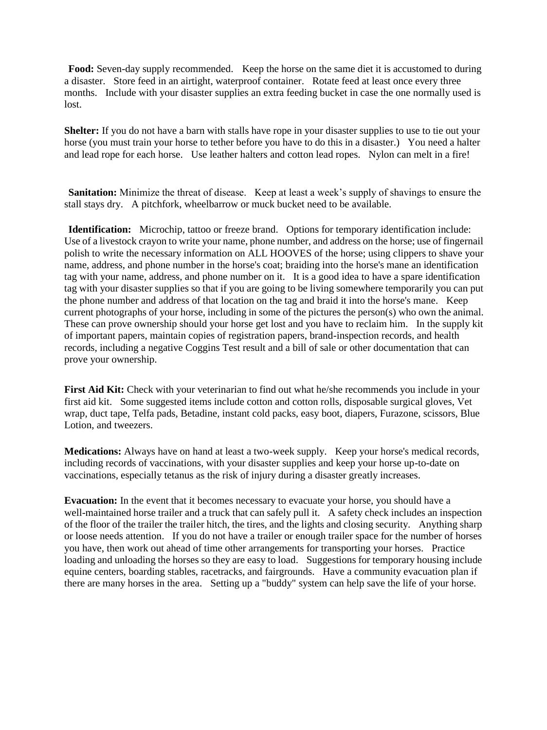**Food:** Seven-day supply recommended.Keep the horse on the same diet it is accustomed to during a disaster. Store feed in an airtight, waterproof container. Rotate feed at least once every three months. Include with your disaster supplies an extra feeding bucket in case the one normally used is lost.

**Shelter:** If you do not have a barn with stalls have rope in your disaster supplies to use to tie out your horse (you must train your horse to tether before you have to do this in a disaster.) You need a halter and lead rope for each horse. Use leather halters and cotton lead ropes. Nylon can melt in a fire!

**Sanitation:** Minimize the threat of disease. Keep at least a week's supply of shavings to ensure the stall stays dry. A pitchfork, wheelbarrow or muck bucket need to be available.

**Identification:** Microchip, tattoo or freeze brand. Options for temporary identification include: Use of a livestock crayon to write your name, phone number, and address on the horse; use of fingernail polish to write the necessary information on ALL HOOVES of the horse; using clippers to shave your name, address, and phone number in the horse's coat; braiding into the horse's mane an identification tag with your name, address, and phone number on it. It is a good idea to have a spare identification tag with your disaster supplies so that if you are going to be living somewhere temporarily you can put the phone number and address of that location on the tag and braid it into the horse's mane. Keep current photographs of your horse, including in some of the pictures the person(s) who own the animal. These can prove ownership should your horse get lost and you have to reclaim him. In the supply kit of important papers, maintain copies of registration papers, brand-inspection records, and health records, including a negative Coggins Test result and a bill of sale or other documentation that can prove your ownership.

First Aid Kit: Check with your veterinarian to find out what he/she recommends you include in your first aid kit. Some suggested items include cotton and cotton rolls, disposable surgical gloves, Vet wrap, duct tape, Telfa pads, Betadine, instant cold packs, easy boot, diapers, Furazone, scissors, Blue Lotion, and tweezers.

**Medications:** Always have on hand at least a two-week supply. Keep your horse's medical records, including records of vaccinations, with your disaster supplies and keep your horse up-to-date on vaccinations, especially tetanus as the risk of injury during a disaster greatly increases.

**Evacuation:** In the event that it becomes necessary to evacuate your horse, you should have a well-maintained horse trailer and a truck that can safely pull it. A safety check includes an inspection of the floor of the trailer the trailer hitch, the tires, and the lights and closing security. Anything sharp or loose needs attention. If you do not have a trailer or enough trailer space for the number of horses you have, then work out ahead of time other arrangements for transporting your horses. Practice loading and unloading the horses so they are easy to load. Suggestions for temporary housing include equine centers, boarding stables, racetracks, and fairgrounds. Have a community evacuation plan if there are many horses in the area. Setting up a "buddy" system can help save the life of your horse.